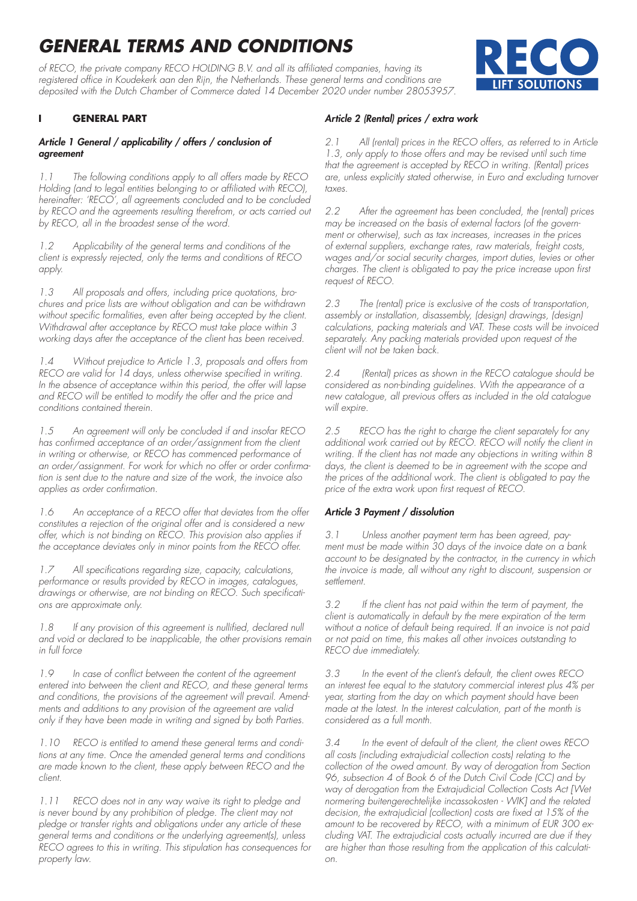# *GENERAL TERMS AND CONDITIONS*

*of RECO, the private company RECO HOLDING B.V. and all its affiliated companies, having its registered office in Koudekerk aan den Rijn, the Netherlands. These general terms and conditions are deposited with the Dutch Chamber of Commerce dated 14 December 2020 under number 28053957.* 



## **I GENERAL PART**

#### *Article 1 General / applicability / offers / conclusion of agreement*

*1.1 The following conditions apply to all offers made by RECO Holding (and to legal entities belonging to or affiliated with RECO), hereinafter: 'RECO', all agreements concluded and to be concluded by RECO and the agreements resulting therefrom, or acts carried out by RECO, all in the broadest sense of the word.*

*1.2 Applicability of the general terms and conditions of the client is expressly rejected, only the terms and conditions of RECO apply.* 

*1.3 All proposals and offers, including price quotations, brochures and price lists are without obligation and can be withdrawn without specific formalities, even after being accepted by the client. Withdrawal after acceptance by RECO must take place within 3 working days after the acceptance of the client has been received.* 

*1.4 Without prejudice to Article 1.3, proposals and offers from RECO are valid for 14 days, unless otherwise specified in writing. In the absence of acceptance within this period, the offer will lapse and RECO will be entitled to modify the offer and the price and conditions contained therein.*

*1.5 An agreement will only be concluded if and insofar RECO has confirmed acceptance of an order/assignment from the client in writing or otherwise, or RECO has commenced performance of an order/assignment. For work for which no offer or order confirmation is sent due to the nature and size of the work, the invoice also applies as order confirmation.*

*1.6 An acceptance of a RECO offer that deviates from the offer constitutes a rejection of the original offer and is considered a new offer, which is not binding on RECO. This provision also applies if the acceptance deviates only in minor points from the RECO offer.* 

*1.7 All specifications regarding size, capacity, calculations, performance or results provided by RECO in images, catalogues, drawings or otherwise, are not binding on RECO. Such specifications are approximate only.*

*1.8 If any provision of this agreement is nullified, declared null and void or declared to be inapplicable, the other provisions remain in full force* 

*1.9 In case of conflict between the content of the agreement entered into between the client and RECO, and these general terms and conditions, the provisions of the agreement will prevail. Amendments and additions to any provision of the agreement are valid only if they have been made in writing and signed by both Parties.* 

*1.10 RECO is entitled to amend these general terms and conditions at any time. Once the amended general terms and conditions are made known to the client, these apply between RECO and the client.* 

*1.11 RECO does not in any way waive its right to pledge and is never bound by any prohibition of pledge. The client may not pledge or transfer rights and obligations under any article of these general terms and conditions or the underlying agreement(s), unless RECO agrees to this in writing. This stipulation has consequences for property law.* 

# *Article 2 (Rental) prices / extra work*

*2.1 All (rental) prices in the RECO offers, as referred to in Article*  1.3, only apply to those offers and may be revised until such time *that the agreement is accepted by RECO in writing. (Rental) prices are, unless explicitly stated otherwise, in Euro and excluding turnover taxes.* 

*2.2 After the agreement has been concluded, the (rental) prices may be increased on the basis of external factors (of the government or otherwise), such as tax increases, increases in the prices of external suppliers, exchange rates, raw materials, freight costs, wages and/or social security charges, import duties, levies or other charges. The client is obligated to pay the price increase upon first request of RECO.* 

*2.3 The (rental) price is exclusive of the costs of transportation, assembly or installation, disassembly, (design) drawings, (design) calculations, packing materials and VAT. These costs will be invoiced separately. Any packing materials provided upon request of the client will not be taken back.* 

*2.4 (Rental) prices as shown in the RECO catalogue should be considered as non-binding guidelines. With the appearance of a new catalogue, all previous offers as included in the old catalogue will expire.* 

*2.5 RECO has the right to charge the client separately for any additional work carried out by RECO. RECO will notify the client in writing. If the client has not made any objections in writing within 8 days, the client is deemed to be in agreement with the scope and the prices of the additional work. The client is obligated to pay the price of the extra work upon first request of RECO.* 

#### *Article 3 Payment / dissolution*

*3.1 Unless another payment term has been agreed, payment must be made within 30 days of the invoice date on a bank account to be designated by the contractor, in the currency in which the invoice is made, all without any right to discount, suspension or settlement.*

*3.2 If the client has not paid within the term of payment, the client is automatically in default by the mere expiration of the term*  without a notice of default being required. If an invoice is not paid *or not paid on time, this makes all other invoices outstanding to RECO due immediately.*

*3.3 In the event of the client's default, the client owes RECO an interest fee equal to the statutory commercial interest plus 4% per year, starting from the day on which payment should have been made at the latest. In the interest calculation, part of the month is considered as a full month.*

*3.4 In the event of default of the client, the client owes RECO all costs (including extrajudicial collection costs) relating to the collection of the owed amount. By way of derogation from Section 96, subsection 4 of Book 6 of the Dutch Civil Code (CC) and by way of derogation from the Extrajudicial Collection Costs Act [Wet normering buitengerechtelijke incassokosten - WIK] and the related decision, the extrajudicial (collection) costs are fixed at 15% of the amount to be recovered by RECO, with a minimum of EUR 300 excluding VAT. The extrajudicial costs actually incurred are due if they are higher than those resulting from the application of this calculation.*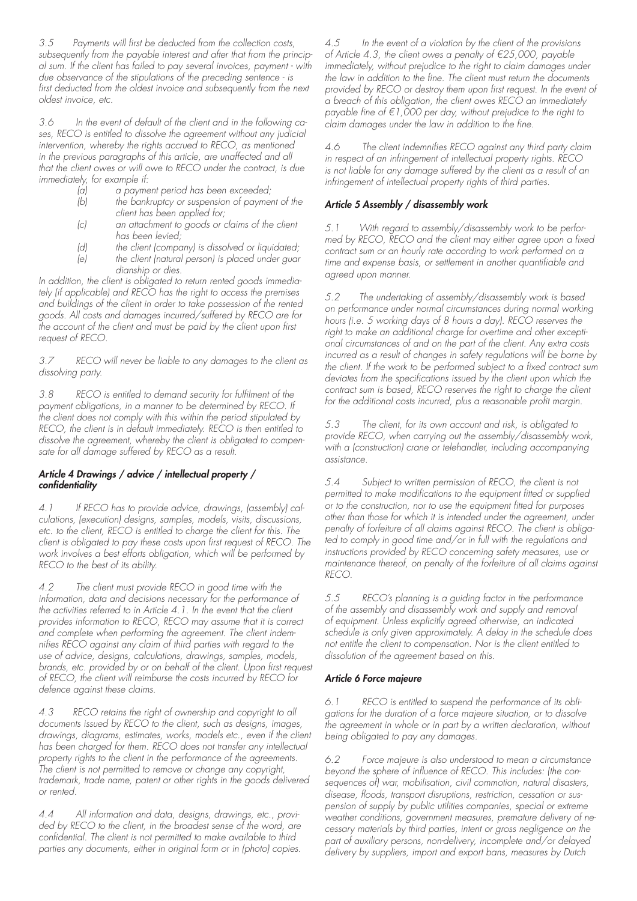*3.5 Payments will first be deducted from the collection costs, subsequently from the payable interest and after that from the principal sum. If the client has failed to pay several invoices, payment - with due observance of the stipulations of the preceding sentence - is first deducted from the oldest invoice and subsequently from the next oldest invoice, etc.*

*3.6 In the event of default of the client and in the following cases, RECO is entitled to dissolve the agreement without any judicial intervention, whereby the rights accrued to RECO, as mentioned*  in the previous paragraphs of this article, are unaffected and all *that the client owes or will owe to RECO under the contract, is due immediately, for example if:*

- *(a) a payment period has been exceeded;*
- *(b) the bankruptcy or suspension of payment of the client has been applied for;*
- *(c) an attachment to goods or claims of the client has been levied;*
- *(d) the client (company) is dissolved or liquidated;*
- *(e) the client (natural person) is placed under guar dianship or dies.*

*In addition, the client is obligated to return rented goods immediately (if applicable) and RECO has the right to access the premises and buildings of the client in order to take possession of the rented goods. All costs and damages incurred/suffered by RECO are for the account of the client and must be paid by the client upon first request of RECO.* 

*3.7 RECO will never be liable to any damages to the client as dissolving party.* 

*3.8 RECO is entitled to demand security for fulfilment of the payment obligations, in a manner to be determined by RECO. If the client does not comply with this within the period stipulated by RECO, the client is in default immediately. RECO is then entitled to dissolve the agreement, whereby the client is obligated to compensate for all damage suffered by RECO as a result.* 

#### *Article 4 Drawings / advice / intellectual property / confidentiality*

*4.1 If RECO has to provide advice, drawings, (assembly) calculations, (execution) designs, samples, models, visits, discussions, etc. to the client, RECO is entitled to charge the client for this. The client is obligated to pay these costs upon first request of RECO. The work involves a best efforts obligation, which will be performed by RECO to the best of its ability.* 

*4.2 The client must provide RECO in good time with the information, data and decisions necessary for the performance of*  the activities referred to in Article 4.1. In the event that the client *provides information to RECO, RECO may assume that it is correct and complete when performing the agreement. The client indemnifies RECO against any claim of third parties with regard to the use of advice, designs, calculations, drawings, samples, models, brands, etc. provided by or on behalf of the client. Upon first request of RECO, the client will reimburse the costs incurred by RECO for defence against these claims.* 

*4.3 RECO retains the right of ownership and copyright to all documents issued by RECO to the client, such as designs, images, drawings, diagrams, estimates, works, models etc., even if the client has been charged for them. RECO does not transfer any intellectual property rights to the client in the performance of the agreements. The client is not permitted to remove or change any copyright, trademark, trade name, patent or other rights in the goods delivered or rented.*

*4.4 All information and data, designs, drawings, etc., provided by RECO to the client, in the broadest sense of the word, are confidential. The client is not permitted to make available to third parties any documents, either in original form or in (photo) copies.* *4.5 In the event of a violation by the client of the provisions of Article 4.3, the client owes a penalty of €25,000, payable immediately, without prejudice to the right to claim damages under the law in addition to the fine. The client must return the documents provided by RECO or destroy them upon first request. In the event of a breach of this obligation, the client owes RECO an immediately payable fine of €1,000 per day, without prejudice to the right to claim damages under the law in addition to the fine.*

*4.6 The client indemnifies RECO against any third party claim in respect of an infringement of intellectual property rights. RECO is not liable for any damage suffered by the client as a result of an infringement of intellectual property rights of third parties.*

## *Article 5 Assembly / disassembly work*

*5.1 With regard to assembly/disassembly work to be performed by RECO, RECO and the client may either agree upon a fixed contract sum or an hourly rate according to work performed on a time and expense basis, or settlement in another quantifiable and agreed upon manner.* 

*5.2 The undertaking of assembly/disassembly work is based on performance under normal circumstances during normal working hours (i.e. 5 working days of 8 hours a day). RECO reserves the right to make an additional charge for overtime and other exceptional circumstances of and on the part of the client. Any extra costs incurred as a result of changes in safety regulations will be borne by the client. If the work to be performed subject to a fixed contract sum deviates from the specifications issued by the client upon which the contract sum is based, RECO reserves the right to charge the client for the additional costs incurred, plus a reasonable profit margin.* 

*5.3 The client, for its own account and risk, is obligated to provide RECO, when carrying out the assembly/disassembly work, with a (construction) crane or telehandler, including accompanying assistance.* 

*5.4 Subject to written permission of RECO, the client is not permitted to make modifications to the equipment fitted or supplied or to the construction, nor to use the equipment fitted for purposes other than those for which it is intended under the agreement, under penalty of forfeiture of all claims against RECO. The client is obligated to comply in good time and/or in full with the regulations and instructions provided by RECO concerning safety measures, use or maintenance thereof, on penalty of the forfeiture of all claims against RECO.*

*5.5 RECO's planning is a guiding factor in the performance of the assembly and disassembly work and supply and removal of equipment. Unless explicitly agreed otherwise, an indicated schedule is only given approximately. A delay in the schedule does not entitle the client to compensation. Nor is the client entitled to dissolution of the agreement based on this.*

#### *Article 6 Force majeure*

*6.1 RECO is entitled to suspend the performance of its obligations for the duration of a force majeure situation, or to dissolve the agreement in whole or in part by a written declaration, without being obligated to pay any damages.* 

*6.2 Force majeure is also understood to mean a circumstance beyond the sphere of influence of RECO. This includes: (the consequences of) war, mobilisation, civil commotion, natural disasters, disease, floods, transport disruptions, restriction, cessation or suspension of supply by public utilities companies, special or extreme weather conditions, government measures, premature delivery of necessary materials by third parties, intent or gross negligence on the part of auxiliary persons, non-delivery, incomplete and/or delayed delivery by suppliers, import and export bans, measures by Dutch*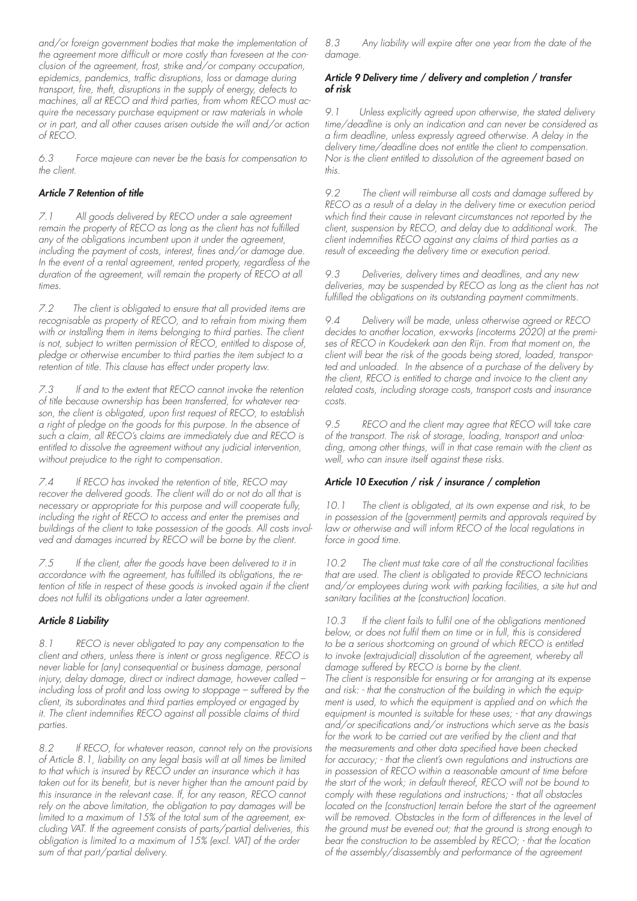*and/or foreign government bodies that make the implementation of the agreement more difficult or more costly than foreseen at the conclusion of the agreement, frost, strike and/or company occupation,*  epidemics, pandemics, traffic disruptions, loss or damage during *transport, fire, theft, disruptions in the supply of energy, defects to machines, all at RECO and third parties, from whom RECO must acquire the necessary purchase equipment or raw materials in whole or in part, and all other causes arisen outside the will and/or action of RECO.* 

*6.3 Force majeure can never be the basis for compensation to the client.*

# *Article 7 Retention of title*

*7.1 All goods delivered by RECO under a sale agreement remain the property of RECO as long as the client has not fulfilled any of the obligations incumbent upon it under the agreement, including the payment of costs, interest, fines and/or damage due. In the event of a rental agreement, rented property, regardless of the duration of the agreement, will remain the property of RECO at all times.* 

*7.2 The client is obligated to ensure that all provided items are recognisable as property of RECO, and to refrain from mixing them*  with or installing them in items belonging to third parties. The client *is not, subject to written permission of RECO, entitled to dispose of, pledge or otherwise encumber to third parties the item subject to a retention of title. This clause has effect under property law.*

*7.3 If and to the extent that RECO cannot invoke the retention of title because ownership has been transferred, for whatever reason, the client is obligated, upon first request of RECO, to establish a right of pledge on the goods for this purpose. In the absence of such a claim, all RECO's claims are immediately due and RECO is entitled to dissolve the agreement without any judicial intervention, without prejudice to the right to compensation.*

*7.4 If RECO has invoked the retention of title, RECO may recover the delivered goods. The client will do or not do all that is necessary or appropriate for this purpose and will cooperate fully, including the right of RECO to access and enter the premises and buildings of the client to take possession of the goods. All costs involved and damages incurred by RECO will be borne by the client.* 

*7.5 If the client, after the goods have been delivered to it in accordance with the agreement, has fulfilled its obligations, the re*tention of title in respect of these goods is invoked again if the client *does not fulfil its obligations under a later agreement.*

# *Article 8 Liability*

*8.1 RECO is never obligated to pay any compensation to the client and others, unless there is intent or gross negligence. RECO is never liable for (any) consequential or business damage, personal injury, delay damage, direct or indirect damage, however called – including loss of profit and loss owing to stoppage – suffered by the client, its subordinates and third parties employed or engaged by it. The client indemnifies RECO against all possible claims of third parties.*

*8.2 If RECO, for whatever reason, cannot rely on the provisions of Article 8.1, liability on any legal basis will at all times be limited to that which is insured by RECO under an insurance which it has taken out for its benefit, but is never higher than the amount paid by this insurance in the relevant case. If, for any reason, RECO cannot rely on the above limitation, the obligation to pay damages will be limited to a maximum of 15% of the total sum of the agreement, excluding VAT. If the agreement consists of parts/partial deliveries, this obligation is limited to a maximum of 15% (excl. VAT) of the order sum of that part/partial delivery.*

*8.3 Any liability will expire after one year from the date of the damage.* 

#### *Article 9 Delivery time / delivery and completion / transfer of risk*

*9.1 Unless explicitly agreed upon otherwise, the stated delivery time/deadline is only an indication and can never be considered as a firm deadline, unless expressly agreed otherwise. A delay in the delivery time/deadline does not entitle the client to compensation. Nor is the client entitled to dissolution of the agreement based on this.* 

*9.2 The client will reimburse all costs and damage suffered by RECO as a result of a delay in the delivery time or execution period which find their cause in relevant circumstances not reported by the client, suspension by RECO, and delay due to additional work. The client indemnifies RECO against any claims of third parties as a result of exceeding the delivery time or execution period.* 

*9.3 Deliveries, delivery times and deadlines, and any new deliveries, may be suspended by RECO as long as the client has not fulfilled the obligations on its outstanding payment commitments.* 

*9.4 Delivery will be made, unless otherwise agreed or RECO decides to another location, ex-works (incoterms 2020) at the premises of RECO in Koudekerk aan den Rijn. From that moment on, the client will bear the risk of the goods being stored, loaded, transported and unloaded. In the absence of a purchase of the delivery by the client, RECO is entitled to charge and invoice to the client any related costs, including storage costs, transport costs and insurance costs.* 

*9.5 RECO and the client may agree that RECO will take care of the transport. The risk of storage, loading, transport and unloading, among other things, will in that case remain with the client as well, who can insure itself against these risks.* 

# *Article 10 Execution / risk / insurance / completion*

*10.1 The client is obligated, at its own expense and risk, to be in possession of the (government) permits and approvals required by*  law or otherwise and will inform RECO of the local regulations in *force in good time.* 

*10.2 The client must take care of all the constructional facilities that are used. The client is obligated to provide RECO technicians and/or employees during work with parking facilities, a site hut and sanitary facilities at the (construction) location.* 

*10.3 If the client fails to fulfil one of the obligations mentioned below, or does not fulfil them on time or in full, this is considered to be a serious shortcoming on ground of which RECO is entitled to invoke (extrajudicial) dissolution of the agreement, whereby all damage suffered by RECO is borne by the client. The client is responsible for ensuring or for arranging at its expense and risk: - that the construction of the building in which the equipment is used, to which the equipment is applied and on which the equipment is mounted is suitable for these uses; - that any drawings and/or specifications and/or instructions which serve as the basis for the work to be carried out are verified by the client and that the measurements and other data specified have been checked for accuracy; - that the client's own regulations and instructions are in possession of RECO within a reasonable amount of time before the start of the work; in default thereof, RECO will not be bound to comply with these regulations and instructions; - that all obstacles located on the (construction) terrain before the start of the agreement will be removed. Obstacles in the form of differences in the level of the ground must be evened out; that the ground is strong enough to bear the construction to be assembled by RECO; - that the location of the assembly/disassembly and performance of the agreement*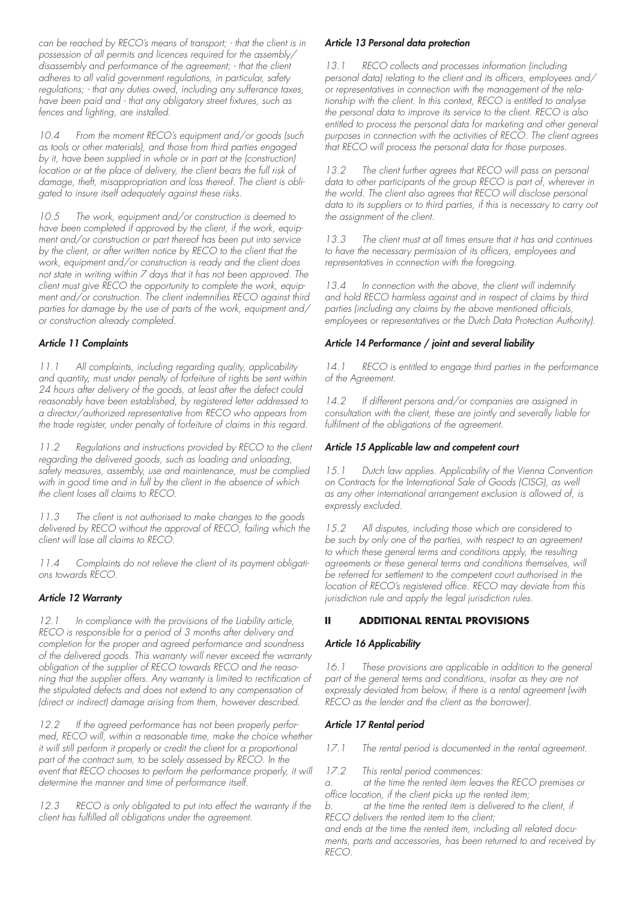*can be reached by RECO's means of transport; - that the client is in possession of all permits and licences required for the assembly/ disassembly and performance of the agreement; - that the client adheres to all valid government regulations, in particular, safety regulations; - that any duties owed, including any sufferance taxes, have been paid and - that any obligatory street fixtures, such as fences and lighting, are installed.*

*10.4 From the moment RECO's equipment and/or goods (such as tools or other materials), and those from third parties engaged*  by *it, have been supplied in whole or in part at the (construction) location or at the place of delivery, the client bears the full risk of damage, theft, misappropriation and loss thereof. The client is obligated to insure itself adequately against these risks.* 

*10.5 The work, equipment and/or construction is deemed to have been completed if approved by the client, if the work, equipment and/or construction or part thereof has been put into service by the client, or after written notice by RECO to the client that the work, equipment and/or construction is ready and the client does not state in writing within 7 days that it has not been approved. The client must give RECO the opportunity to complete the work, equipment and/or construction. The client indemnifies RECO against third parties for damage by the use of parts of the work, equipment and/ or construction already completed.* 

# *Article 11 Complaints*

*11.1 All complaints, including regarding quality, applicability and quantity, must under penalty of forfeiture of rights be sent within 24 hours after delivery of the goods, at least after the defect could reasonably have been established, by registered letter addressed to a director/authorized representative from RECO who appears from the trade register, under penalty of forfeiture of claims in this regard.* 

*11.2 Regulations and instructions provided by RECO to the client regarding the delivered goods, such as loading and unloading, safety measures, assembly, use and maintenance, must be complied with in good time and in full by the client in the absence of which the client loses all claims to RECO.* 

*11.3 The client is not authorised to make changes to the goods delivered by RECO without the approval of RECO, failing which the client will lose all claims to RECO.*

*11.4 Complaints do not relieve the client of its payment obligations towards RECO.* 

#### *Article 12 Warranty*

*12.1 In compliance with the provisions of the Liability article, RECO is responsible for a period of 3 months after delivery and completion for the proper and agreed performance and soundness of the delivered goods. This warranty will never exceed the warranty obligation of the supplier of RECO towards RECO and the reasoning that the supplier offers. Any warranty is limited to rectification of the stipulated defects and does not extend to any compensation of (direct or indirect) damage arising from them, however described.*

*12.2 If the agreed performance has not been properly performed, RECO will, within a reasonable time, make the choice whether it will still perform it properly or credit the client for a proportional* part of the contract sum, to be solely assessed by RECO. In the *event that RECO chooses to perform the performance properly, it will determine the manner and time of performance itself.* 

12.3 RECO is only obligated to put into effect the warranty if the *client has fulfilled all obligations under the agreement.* 

#### *Article 13 Personal data protection*

*13.1 RECO collects and processes information (including personal data) relating to the client and its officers, employees and/ or representatives in connection with the management of the relationship with the client. In this context, RECO is entitled to analyse the personal data to improve its service to the client. RECO is also*  entitled to process the personal data for marketing and other general *purposes in connection with the activities of RECO. The client agrees that RECO will process the personal data for those purposes.* 

*13.2 The client further agrees that RECO will pass on personal data to other participants of the group RECO is part of, wherever in the world. The client also agrees that RECO will disclose personal data to its suppliers or to third parties, if this is necessary to carry out the assignment of the client.* 

*13.3 The client must at all times ensure that it has and continues to have the necessary permission of its officers, employees and representatives in connection with the foregoing.* 

13.4 In connection with the above, the client will indemnify *and hold RECO harmless against and in respect of claims by third parties (including any claims by the above mentioned officials, employees or representatives or the Dutch Data Protection Authority).* 

#### *Article 14 Performance / joint and several liability*

*14.1 RECO is entitled to engage third parties in the performance of the Agreement.* 

*14.2 If different persons and/or companies are assigned in consultation with the client, these are jointly and severally liable for fulfilment of the obligations of the agreement.*

#### *Article 15 Applicable law and competent court*

*15.1 Dutch law applies. Applicability of the Vienna Convention on Contracts for the International Sale of Goods (CISG), as well as any other international arrangement exclusion is allowed of, is expressly excluded.*

*15.2 All disputes, including those which are considered to be such by only one of the parties, with respect to an agreement*  to which these general terms and conditions apply, the resulting *agreements or these general terms and conditions themselves, will be referred for settlement to the competent court authorised in the location of RECO's registered office. RECO may deviate from this jurisdiction rule and apply the legal jurisdiction rules.* 

#### **II ADDITIONAL RENTAL PROVISIONS**

#### *Article 16 Applicability*

16.1 These provisions are applicable in addition to the general part of the general terms and conditions, insofar as they are not *expressly deviated from below, if there is a rental agreement (with RECO as the lender and the client as the borrower).* 

#### *Article 17 Rental period*

*17.1 The rental period is documented in the rental agreement.*

*17.2 This rental period commences:*

*a. at the time the rented item leaves the RECO premises or office location, if the client picks up the rented item;* 

*b. at the time the rented item is delivered to the client, if RECO delivers the rented item to the client;*

*and ends at the time the rented item, including all related documents, parts and accessories, has been returned to and received by RECO.*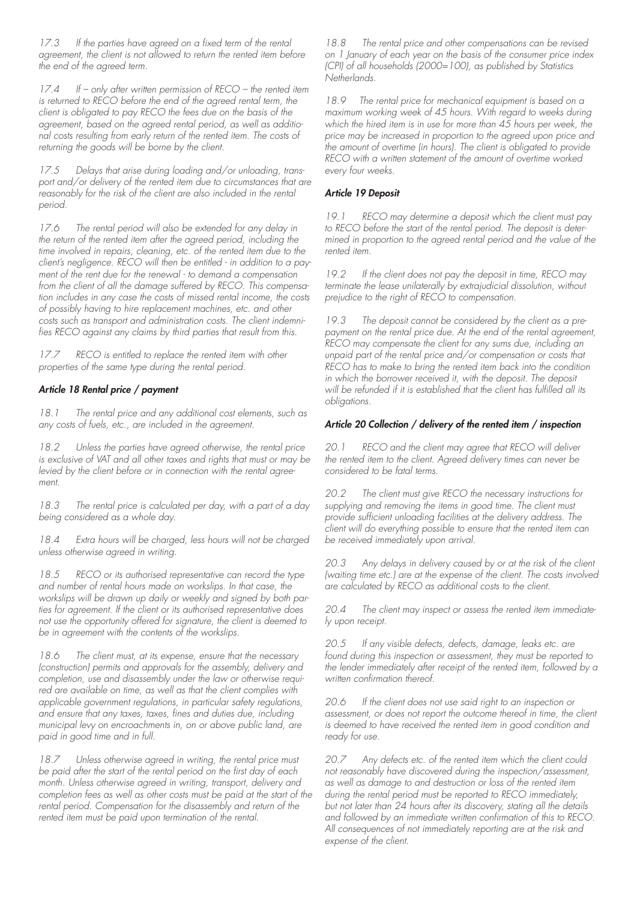*17.3 If the parties have agreed on a fixed term of the rental agreement, the client is not allowed to return the rented item before the end of the agreed term.* 

*17.4 If – only after written permission of RECO – the rented item is returned to RECO before the end of the agreed rental term, the client is obligated to pay RECO the fees due on the basis of the agreement, based on the agreed rental period, as well as additional costs resulting from early return of the rented item. The costs of returning the goods will be borne by the client.*

*17.5 Delays that arise during loading and/or unloading, transport and/or delivery of the rented item due to circumstances that are reasonably for the risk of the client are also included in the rental period.*

*17.6 The rental period will also be extended for any delay in the return of the rented item after the agreed period, including the*  time involved in repairs, cleaning, etc. of the rented item due to the *client's negligence. RECO will then be entitled - in addition to a payment of the rent due for the renewal - to demand a compensation from the client of all the damage suffered by RECO. This compensation includes in any case the costs of missed rental income, the costs of possibly having to hire replacement machines, etc. and other costs such as transport and administration costs. The client indemnifies RECO against any claims by third parties that result from this.*

*17.7 RECO is entitled to replace the rented item with other properties of the same type during the rental period.*

## *Article 18 Rental price / payment*

*18.1 The rental price and any additional cost elements, such as any costs of fuels, etc., are included in the agreement.* 

*18.2 Unless the parties have agreed otherwise, the rental price is exclusive of VAT and all other taxes and rights that must or may be levied by the client before or in connection with the rental agreement.*

*18.3 The rental price is calculated per day, with a part of a day being considered as a whole day.*

*18.4 Extra hours will be charged, less hours will not be charged unless otherwise agreed in writing.*

*18.5 RECO or its authorised representative can record the type and number of rental hours made on workslips. In that case, the workslips will be drawn up daily or weekly and signed by both parties for agreement. If the client or its authorised representative does not use the opportunity offered for signature, the client is deemed to be in agreement with the contents of the workslips.*

*18.6 The client must, at its expense, ensure that the necessary (construction) permits and approvals for the assembly, delivery and completion, use and disassembly under the law or otherwise required are available on time, as well as that the client complies with applicable government regulations, in particular safety regulations, and ensure that any taxes, taxes, fines and duties due, including municipal levy on encroachments in, on or above public land, are paid in good time and in full.* 

*18.7 Unless otherwise agreed in writing, the rental price must be paid after the start of the rental period on the first day of each month. Unless otherwise agreed in writing, transport, delivery and*  completion fees as well as other costs must be paid at the start of the *rental period. Compensation for the disassembly and return of the rented item must be paid upon termination of the rental.*

*18.8 The rental price and other compensations can be revised on 1 January of each year on the basis of the consumer price index (CPI) of all households (2000=100), as published by Statistics Netherlands.* 

*18.9 The rental price for mechanical equipment is based on a maximum working week of 45 hours. With regard to weeks during which the hired item is in use for more than 45 hours per week, the price may be increased in proportion to the agreed upon price and the amount of overtime (in hours). The client is obligated to provide RECO with a written statement of the amount of overtime worked every four weeks.*

#### *Article 19 Deposit*

*19.1 RECO may determine a deposit which the client must pay to RECO before the start of the rental period. The deposit is determined in proportion to the agreed rental period and the value of the rented item.*

*19.2 If the client does not pay the deposit in time, RECO may terminate the lease unilaterally by extrajudicial dissolution, without prejudice to the right of RECO to compensation.*

*19.3 The deposit cannot be considered by the client as a prepayment on the rental price due. At the end of the rental agreement, RECO may compensate the client for any sums due, including an unpaid part of the rental price and/or compensation or costs that RECO has to make to bring the rented item back into the condition*  in which the borrower received it, with the deposit. The deposit *will be refunded if it is established that the client has fulfilled all its obligations.*

#### *Article 20 Collection / delivery of the rented item / inspection*

*20.1 RECO and the client may agree that RECO will deliver the rented item to the client. Agreed delivery times can never be considered to be fatal terms.*

*20.2 The client must give RECO the necessary instructions for supplying and removing the items in good time. The client must provide sufficient unloading facilities at the delivery address. The client will do everything possible to ensure that the rented item can be received immediately upon arrival.*

*20.3 Any delays in delivery caused by or at the risk of the client (waiting time etc.) are at the expense of the client. The costs involved are calculated by RECO as additional costs to the client.*

*20.4 The client may inspect or assess the rented item immediately upon receipt.*

*20.5 If any visible defects, defects, damage, leaks etc. are found during this inspection or assessment, they must be reported to the lender immediately after receipt of the rented item, followed by a written confirmation thereof.*

*20.6 If the client does not use said right to an inspection or assessment, or does not report the outcome thereof in time, the client is deemed to have received the rented item in good condition and ready for use.*

*20.7 Any defects etc. of the rented item which the client could not reasonably have discovered during the inspection/assessment, as well as damage to and destruction or loss of the rented item during the rental period must be reported to RECO immediately, but not later than 24 hours after its discovery, stating all the details and followed by an immediate written confirmation of this to RECO. All consequences of not immediately reporting are at the risk and expense of the client.*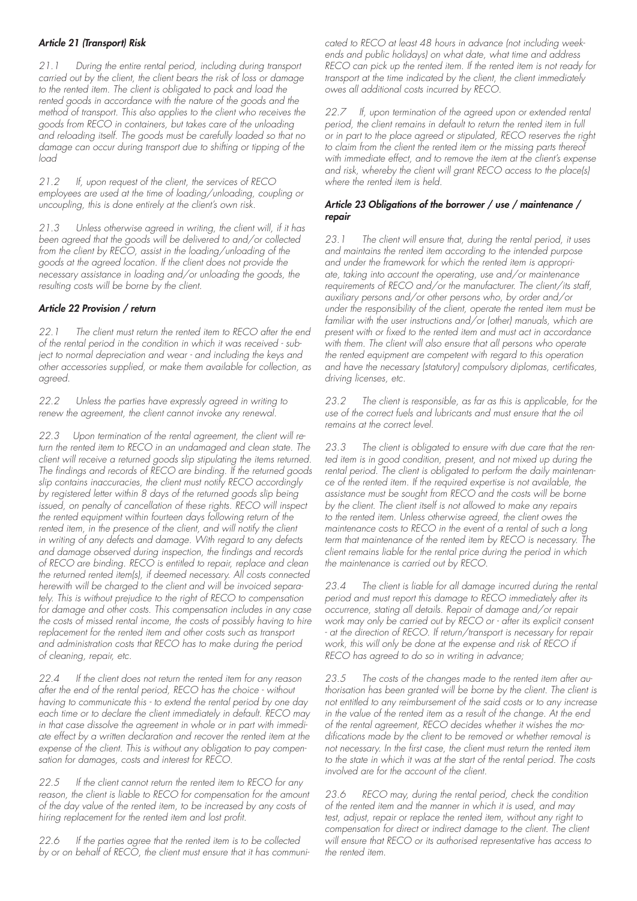## *Article 21 (Transport) Risk*

*21.1 During the entire rental period, including during transport carried out by the client, the client bears the risk of loss or damage to the rented item. The client is obligated to pack and load the*  rented goods in accordance with the nature of the goods and the *method of transport. This also applies to the client who receives the goods from RECO in containers, but takes care of the unloading and reloading itself. The goods must be carefully loaded so that no damage can occur during transport due to shifting or tipping of the load*

*21.2 If, upon request of the client, the services of RECO employees are used at the time of loading/unloading, coupling or uncoupling, this is done entirely at the client's own risk.*

*21.3 Unless otherwise agreed in writing, the client will, if it has been agreed that the goods will be delivered to and/or collected from the client by RECO, assist in the loading/unloading of the goods at the agreed location. If the client does not provide the necessary assistance in loading and/or unloading the goods, the resulting costs will be borne by the client.*

## *Article 22 Provision / return*

*22.1 The client must return the rented item to RECO after the end of the rental period in the condition in which it was received - subject to normal depreciation and wear - and including the keys and other accessories supplied, or make them available for collection, as agreed.*

*22.2 Unless the parties have expressly agreed in writing to renew the agreement, the client cannot invoke any renewal.*

*22.3 Upon termination of the rental agreement, the client will return the rented item to RECO in an undamaged and clean state. The client will receive a returned goods slip stipulating the items returned. The findings and records of RECO are binding. If the returned goods slip contains inaccuracies, the client must notify RECO accordingly by registered letter within 8 days of the returned goods slip being issued, on penalty of cancellation of these rights. RECO will inspect the rented equipment within fourteen days following return of the*  rented item, in the presence of the client, and will notify the client *in writing of any defects and damage. With regard to any defects and damage observed during inspection, the findings and records of RECO are binding. RECO is entitled to repair, replace and clean the returned rented item(s), if deemed necessary. All costs connected herewith will be charged to the client and will be invoiced separately. This is without prejudice to the right of RECO to compensation for damage and other costs. This compensation includes in any case the costs of missed rental income, the costs of possibly having to hire replacement for the rented item and other costs such as transport and administration costs that RECO has to make during the period of cleaning, repair, etc.*

*22.4 If the client does not return the rented item for any reason after the end of the rental period, RECO has the choice - without having to communicate this - to extend the rental period by one day each time or to declare the client immediately in default. RECO may in that case dissolve the agreement in whole or in part with immediate effect by a written declaration and recover the rented item at the expense of the client. This is without any obligation to pay compensation for damages, costs and interest for RECO.*

*22.5 If the client cannot return the rented item to RECO for any reason, the client is liable to RECO for compensation for the amount of the day value of the rented item, to be increased by any costs of hiring replacement for the rented item and lost profit.*

*22.6 If the parties agree that the rented item is to be collected by or on behalf of RECO, the client must ensure that it has communi-* *cated to RECO at least 48 hours in advance (not including weekends and public holidays) on what date, what time and address RECO can pick up the rented item. If the rented item is not ready for transport at the time indicated by the client, the client immediately owes all additional costs incurred by RECO.*

*22.7 If, upon termination of the agreed upon or extended rental*  period, the client remains in default to return the rented item in full *or in part to the place agreed or stipulated, RECO reserves the right to claim from the client the rented item or the missing parts thereof with immediate effect, and to remove the item at the client's expense and risk, whereby the client will grant RECO access to the place(s) where the rented item is held.*

### *Article 23 Obligations of the borrower / use / maintenance / repair*

*23.1 The client will ensure that, during the rental period, it uses and maintains the rented item according to the intended purpose and under the framework for which the rented item is appropriate, taking into account the operating, use and/or maintenance requirements of RECO and/or the manufacturer. The client/its staff, auxiliary persons and/or other persons who, by order and/or*  under the responsibility of the client, operate the rented item must be *familiar with the user instructions and/or (other) manuals, which are present with or fixed to the rented item and must act in accordance with them. The client will also ensure that all persons who operate the rented equipment are competent with regard to this operation and have the necessary (statutory) compulsory diplomas, certificates, driving licenses, etc.*

*23.2 The client is responsible, as far as this is applicable, for the use of the correct fuels and lubricants and must ensure that the oil remains at the correct level.*

*23.3 The client is obligated to ensure with due care that the rented item is in good condition, present, and not mixed up during the rental period. The client is obligated to perform the daily maintenance of the rented item. If the required expertise is not available, the assistance must be sought from RECO and the costs will be borne by the client. The client itself is not allowed to make any repairs to the rented item. Unless otherwise agreed, the client owes the maintenance costs to RECO in the event of a rental of such a long term that maintenance of the rented item by RECO is necessary. The client remains liable for the rental price during the period in which the maintenance is carried out by RECO.*

23.4 The client is liable for all damage incurred during the rental *period and must report this damage to RECO immediately after its occurrence, stating all details. Repair of damage and/or repair work may only be carried out by RECO or - after its explicit consent - at the direction of RECO. If return/transport is necessary for repair work, this will only be done at the expense and risk of RECO if RECO has agreed to do so in writing in advance;*

*23.5 The costs of the changes made to the rented item after authorisation has been granted will be borne by the client. The client is not entitled to any reimbursement of the said costs or to any increase in the value of the rented item as a result of the change. At the end of the rental agreement, RECO decides whether it wishes the modifications made by the client to be removed or whether removal is not necessary. In the first case, the client must return the rented item to the state in which it was at the start of the rental period. The costs involved are for the account of the client.*

*23.6 RECO may, during the rental period, check the condition of the rented item and the manner in which it is used, and may test, adjust, repair or replace the rented item, without any right to compensation for direct or indirect damage to the client. The client will ensure that RECO or its authorised representative has access to the rented item.*